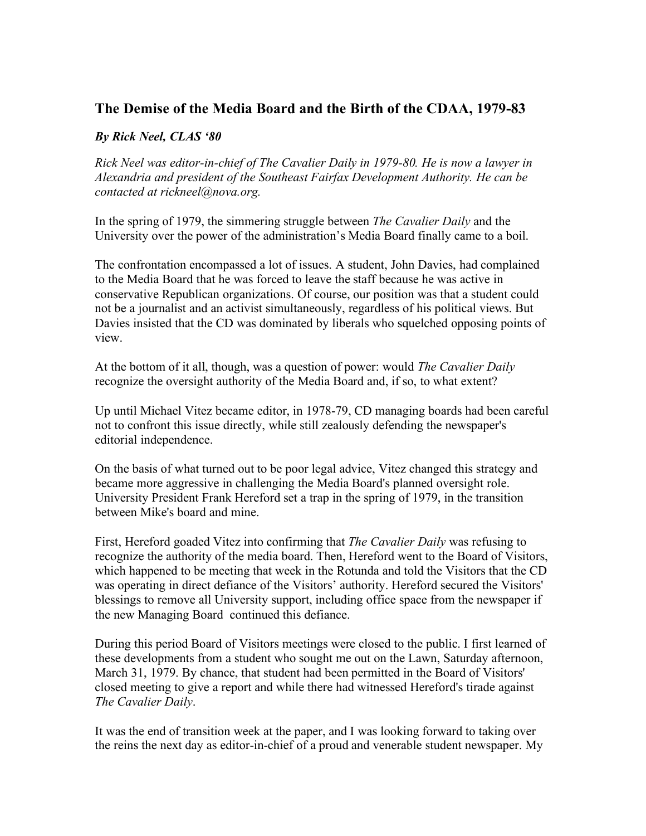## **The Demise of the Media Board and the Birth of the CDAA, 1979-83**

## *By Rick Neel, CLAS '80*

*Rick Neel was editor-in-chief of The Cavalier Daily in 1979-80. He is now a lawyer in Alexandria and president of the Southeast Fairfax Development Authority. He can be contacted at rickneel@nova.org.*

In the spring of 1979, the simmering struggle between *The Cavalier Daily* and the University over the power of the administration's Media Board finally came to a boil.

The confrontation encompassed a lot of issues. A student, John Davies, had complained to the Media Board that he was forced to leave the staff because he was active in conservative Republican organizations. Of course, our position was that a student could not be a journalist and an activist simultaneously, regardless of his political views. But Davies insisted that the CD was dominated by liberals who squelched opposing points of view.

At the bottom of it all, though, was a question of power: would *The Cavalier Daily* recognize the oversight authority of the Media Board and, if so, to what extent?

Up until Michael Vitez became editor, in 1978-79, CD managing boards had been careful not to confront this issue directly, while still zealously defending the newspaper's editorial independence.

On the basis of what turned out to be poor legal advice, Vitez changed this strategy and became more aggressive in challenging the Media Board's planned oversight role. University President Frank Hereford set a trap in the spring of 1979, in the transition between Mike's board and mine.

First, Hereford goaded Vitez into confirming that *The Cavalier Daily* was refusing to recognize the authority of the media board. Then, Hereford went to the Board of Visitors, which happened to be meeting that week in the Rotunda and told the Visitors that the CD was operating in direct defiance of the Visitors' authority. Hereford secured the Visitors' blessings to remove all University support, including office space from the newspaper if the new Managing Board continued this defiance.

During this period Board of Visitors meetings were closed to the public. I first learned of these developments from a student who sought me out on the Lawn, Saturday afternoon, March 31, 1979. By chance, that student had been permitted in the Board of Visitors' closed meeting to give a report and while there had witnessed Hereford's tirade against *The Cavalier Daily*.

It was the end of transition week at the paper, and I was looking forward to taking over the reins the next day as editor-in-chief of a proud and venerable student newspaper. My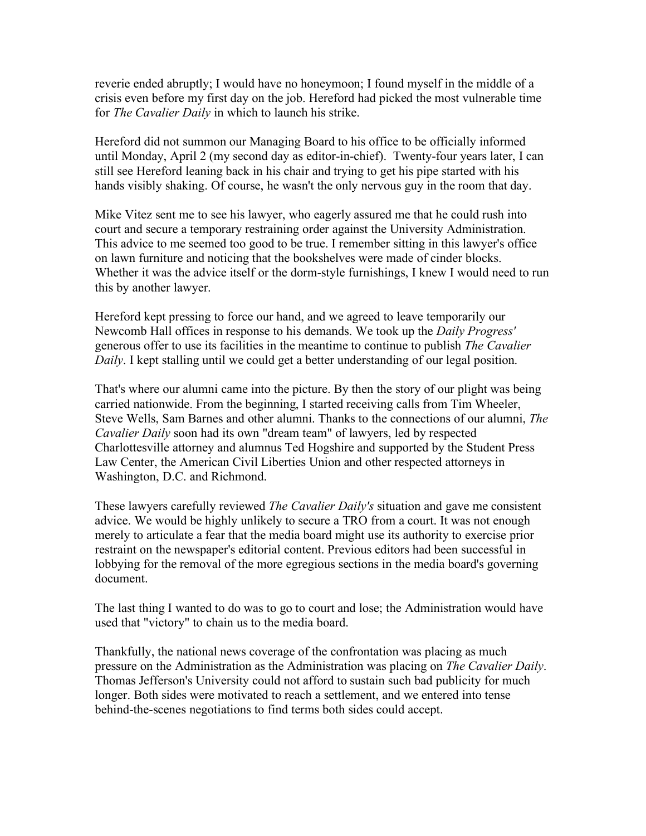reverie ended abruptly; I would have no honeymoon; I found myself in the middle of a crisis even before my first day on the job. Hereford had picked the most vulnerable time for *The Cavalier Daily* in which to launch his strike.

Hereford did not summon our Managing Board to his office to be officially informed until Monday, April 2 (my second day as editor-in-chief). Twenty-four years later, I can still see Hereford leaning back in his chair and trying to get his pipe started with his hands visibly shaking. Of course, he wasn't the only nervous guy in the room that day.

Mike Vitez sent me to see his lawyer, who eagerly assured me that he could rush into court and secure a temporary restraining order against the University Administration. This advice to me seemed too good to be true. I remember sitting in this lawyer's office on lawn furniture and noticing that the bookshelves were made of cinder blocks. Whether it was the advice itself or the dorm-style furnishings, I knew I would need to run this by another lawyer.

Hereford kept pressing to force our hand, and we agreed to leave temporarily our Newcomb Hall offices in response to his demands. We took up the *Daily Progress'* generous offer to use its facilities in the meantime to continue to publish *The Cavalier Daily*. I kept stalling until we could get a better understanding of our legal position.

That's where our alumni came into the picture. By then the story of our plight was being carried nationwide. From the beginning, I started receiving calls from Tim Wheeler, Steve Wells, Sam Barnes and other alumni. Thanks to the connections of our alumni, *The Cavalier Daily* soon had its own "dream team" of lawyers, led by respected Charlottesville attorney and alumnus Ted Hogshire and supported by the Student Press Law Center, the American Civil Liberties Union and other respected attorneys in Washington, D.C. and Richmond.

These lawyers carefully reviewed *The Cavalier Daily's* situation and gave me consistent advice. We would be highly unlikely to secure a TRO from a court. It was not enough merely to articulate a fear that the media board might use its authority to exercise prior restraint on the newspaper's editorial content. Previous editors had been successful in lobbying for the removal of the more egregious sections in the media board's governing document.

The last thing I wanted to do was to go to court and lose; the Administration would have used that "victory" to chain us to the media board.

Thankfully, the national news coverage of the confrontation was placing as much pressure on the Administration as the Administration was placing on *The Cavalier Daily*. Thomas Jefferson's University could not afford to sustain such bad publicity for much longer. Both sides were motivated to reach a settlement, and we entered into tense behind-the-scenes negotiations to find terms both sides could accept.